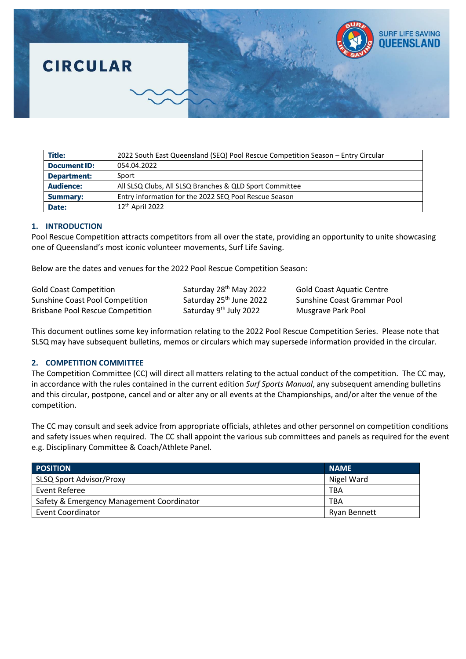

| <b>Title:</b>       | 2022 South East Queensland (SEQ) Pool Rescue Competition Season - Entry Circular |
|---------------------|----------------------------------------------------------------------------------|
| <b>Document ID:</b> | 054.04.2022                                                                      |
| Department:         | Sport                                                                            |
| <b>Audience:</b>    | All SLSQ Clubs, All SLSQ Branches & QLD Sport Committee                          |
| <b>Summary:</b>     | Entry information for the 2022 SEQ Pool Rescue Season                            |
| Date:               | $12th$ April 2022                                                                |

# **1. INTRODUCTION**

Pool Rescue Competition attracts competitors from all over the state, providing an opportunity to unite showcasing one of Queensland's most iconic volunteer movements, Surf Life Saving.

Below are the dates and venues for the 2022 Pool Rescue Competition Season:

| <b>Gold Coast Competition</b>           | Saturday 28 <sup>th</sup> May 2022  |
|-----------------------------------------|-------------------------------------|
| <b>Sunshine Coast Pool Competition</b>  | Saturday 25 <sup>th</sup> June 2022 |
| <b>Brisbane Pool Rescue Competition</b> | Saturday 9 <sup>th</sup> July 2022  |

Gold Coast Aquatic Centre Sunshine Coast Grammar Pool Musgrave Park Pool

This document outlines some key information relating to the 2022 Pool Rescue Competition Series. Please note that SLSQ may have subsequent bulletins, memos or circulars which may supersede information provided in the circular.

# **2. COMPETITION COMMITTEE**

The Competition Committee (CC) will direct all matters relating to the actual conduct of the competition. The CC may, in accordance with the rules contained in the current edition *Surf Sports Manual*, any subsequent amending bulletins and this circular, postpone, cancel and or alter any or all events at the Championships, and/or alter the venue of the competition.

The CC may consult and seek advice from appropriate officials, athletes and other personnel on competition conditions and safety issues when required. The CC shall appoint the various sub committees and panels as required for the event e.g. Disciplinary Committee & Coach/Athlete Panel.

| <b>POSITION</b>                           | <b>NAME</b>  |
|-------------------------------------------|--------------|
| SLSQ Sport Advisor/Proxy                  | Nigel Ward   |
| Event Referee                             | <b>TBA</b>   |
| Safety & Emergency Management Coordinator | <b>TBA</b>   |
| <b>Event Coordinator</b>                  | Rvan Bennett |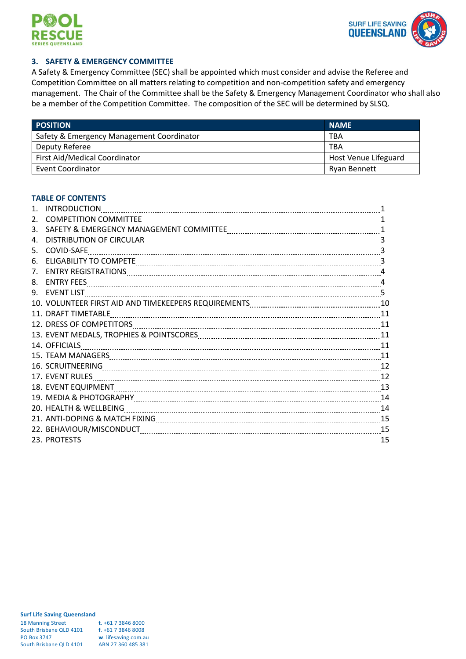



# **3. SAFETY & EMERGENCY COMMITTEE**

A Safety & Emergency Committee (SEC) shall be appointed which must consider and advise the Referee and Competition Committee on all matters relating to competition and non-competition safety and emergency management. The Chair of the Committee shall be the Safety & Emergency Management Coordinator who shall also be a member of the Competition Committee. The composition of the SEC will be determined by SLSQ.

| <b>POSITION</b>                           | <b>NAME</b>          |
|-------------------------------------------|----------------------|
| Safety & Emergency Management Coordinator | <b>TBA</b>           |
| Deputy Referee                            | <b>TBA</b>           |
| First Aid/Medical Coordinator             | Host Venue Lifeguard |
| <b>Event Coordinator</b>                  | <b>Ryan Bennett</b>  |

# **TABLE OF CONTENTS**

| $\mathbf{1}$ .  | <b>INTRODUCTION</b>                                                                                            |    |
|-----------------|----------------------------------------------------------------------------------------------------------------|----|
| 2.              |                                                                                                                |    |
| 3.              |                                                                                                                |    |
| 4.              |                                                                                                                |    |
| 5.              | COVID-SAFE                                                                                                     |    |
| 6.              | ELIGABILITY TO COMPETE MARIE AND ACCORDING TO A COMPTETE MARIE AND THE MARIE AND THE MARIE AND THE MARIE AND T |    |
| 7.              |                                                                                                                |    |
| 8.              |                                                                                                                | 4  |
| 9.              |                                                                                                                |    |
|                 |                                                                                                                |    |
| 11 <sup>1</sup> | <b>DRAFT TIMETABLE</b>                                                                                         |    |
|                 |                                                                                                                |    |
|                 |                                                                                                                |    |
|                 | 14. OFFICIALS                                                                                                  |    |
|                 |                                                                                                                |    |
|                 |                                                                                                                |    |
|                 | 17. EVENT RULES                                                                                                |    |
|                 |                                                                                                                |    |
|                 |                                                                                                                |    |
|                 | 20. HEALTH & WELLBEING CONTENTS AND THE RESERVE THE RESERVE THE RESERVE THE RESERVE THE RESERVE THE RESERVE TH |    |
|                 | 21. ANTI-DOPING & MATCH FIXING MACHALLER CONTENT TO A 45 YO FIND TO A 45 YO FIND TO A 45                       |    |
|                 |                                                                                                                |    |
|                 | 23. PROTESTS                                                                                                   | 15 |
|                 |                                                                                                                |    |

| <b>18 Manning Street</b> | t. $+61$ 7 3846 8000 |
|--------------------------|----------------------|
| South Brisbane QLD 4101  | $f. +61738468008$    |
| <b>PO Box 3747</b>       | w. lifesaving.com.au |
| South Brisbane QLD 4101  | ABN 27 360 485 381   |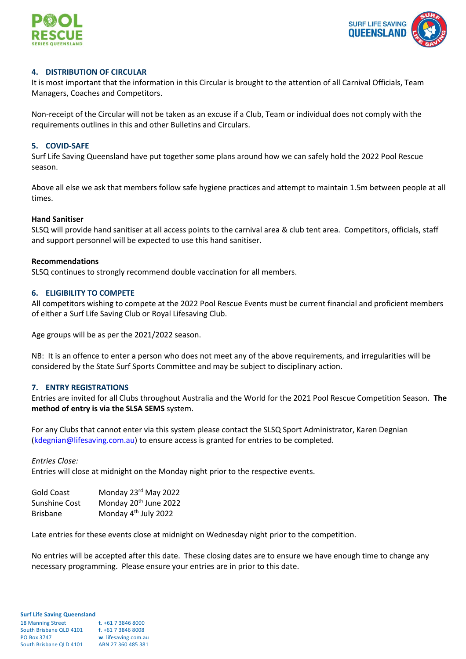



## **4. DISTRIBUTION OF CIRCULAR**

It is most important that the information in this Circular is brought to the attention of all Carnival Officials, Team Managers, Coaches and Competitors.

Non-receipt of the Circular will not be taken as an excuse if a Club, Team or individual does not comply with the requirements outlines in this and other Bulletins and Circulars.

## **5. COVID-SAFE**

Surf Life Saving Queensland have put together some plans around how we can safely hold the 2022 Pool Rescue season.

Above all else we ask that members follow safe hygiene practices and attempt to maintain 1.5m between people at all times.

#### **Hand Sanitiser**

SLSQ will provide hand sanitiser at all access points to the carnival area & club tent area. Competitors, officials, staff and support personnel will be expected to use this hand sanitiser.

## **Recommendations**

SLSQ continues to strongly recommend double vaccination for all members.

## **6. ELIGIBILITY TO COMPETE**

All competitors wishing to compete at the 2022 Pool Rescue Events must be current financial and proficient members of either a Surf Life Saving Club or Royal Lifesaving Club.

Age groups will be as per the 2021/2022 season.

NB: It is an offence to enter a person who does not meet any of the above requirements, and irregularities will be considered by the State Surf Sports Committee and may be subject to disciplinary action.

# **7. ENTRY REGISTRATIONS**

Entries are invited for all Clubs throughout Australia and the World for the 2021 Pool Rescue Competition Season. **The method of entry is via the SLSA SEMS** system.

For any Clubs that cannot enter via this system please contact the SLSQ Sport Administrator, Karen Degnian [\(kdegnian@lifesaving.com.au\)](mailto:kdegnian@lifesaving.com.au) to ensure access is granted for entries to be completed.

#### *Entries Close:*

Entries will close at midnight on the Monday night prior to the respective events.

| Gold Coast      | Monday 23rd May 2022              |
|-----------------|-----------------------------------|
| Sunshine Cost   | Monday 20 <sup>th</sup> June 2022 |
| <b>Brisbane</b> | Monday 4 <sup>th</sup> July 2022  |

Late entries for these events close at midnight on Wednesday night prior to the competition.

No entries will be accepted after this date. These closing dates are to ensure we have enough time to change any necessary programming. Please ensure your entries are in prior to this date.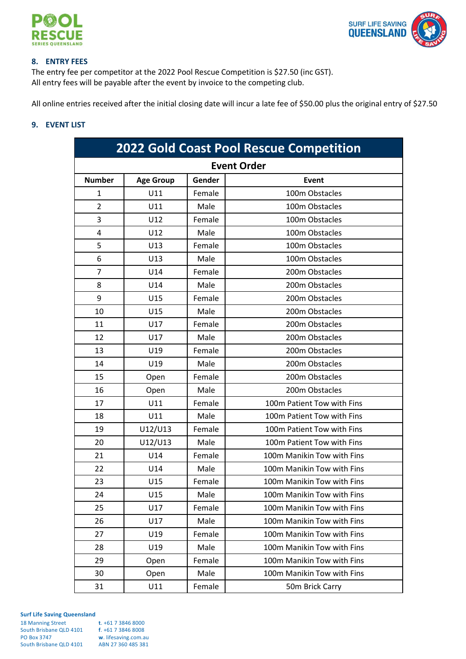



# **8. ENTRY FEES**

The entry fee per competitor at the 2022 Pool Rescue Competition is \$27.50 (inc GST). All entry fees will be payable after the event by invoice to the competing club.

All online entries received after the initial closing date will incur a late fee of \$50.00 plus the original entry of \$27.50

# **9. EVENT LIST**

| <b>2022 Gold Coast Pool Rescue Competition</b> |                  |        |                            |
|------------------------------------------------|------------------|--------|----------------------------|
| <b>Event Order</b>                             |                  |        |                            |
| <b>Number</b>                                  | <b>Age Group</b> | Gender | <b>Event</b>               |
| 1                                              | U11              | Female | 100m Obstacles             |
| $\overline{2}$                                 | U11              | Male   | 100m Obstacles             |
| 3                                              | U12              | Female | 100m Obstacles             |
| 4                                              | U12              | Male   | 100m Obstacles             |
| 5                                              | U13              | Female | 100m Obstacles             |
| 6                                              | U13              | Male   | 100m Obstacles             |
| $\overline{7}$                                 | U14              | Female | 200m Obstacles             |
| 8                                              | U14              | Male   | 200m Obstacles             |
| 9                                              | U15              | Female | 200m Obstacles             |
| 10                                             | U15              | Male   | 200m Obstacles             |
| 11                                             | U17              | Female | 200m Obstacles             |
| 12                                             | U17              | Male   | 200m Obstacles             |
| 13                                             | U19              | Female | 200m Obstacles             |
| 14                                             | U19              | Male   | 200m Obstacles             |
| 15                                             | Open             | Female | 200m Obstacles             |
| 16                                             | Open             | Male   | 200m Obstacles             |
| 17                                             | U11              | Female | 100m Patient Tow with Fins |
| 18                                             | U11              | Male   | 100m Patient Tow with Fins |
| 19                                             | U12/U13          | Female | 100m Patient Tow with Fins |
| 20                                             | U12/U13          | Male   | 100m Patient Tow with Fins |
| 21                                             | U14              | Female | 100m Manikin Tow with Fins |
| 22                                             | U14              | Male   | 100m Manikin Tow with Fins |
| 23                                             | U15              | Female | 100m Manikin Tow with Fins |
| 24                                             | U15              | Male   | 100m Manikin Tow with Fins |
| 25                                             | U17              | Female | 100m Manikin Tow with Fins |
| 26                                             | U17              | Male   | 100m Manikin Tow with Fins |
| 27                                             | U19              | Female | 100m Manikin Tow with Fins |
| 28                                             | U19              | Male   | 100m Manikin Tow with Fins |
| 29                                             | Open             | Female | 100m Manikin Tow with Fins |
| 30                                             | Open             | Male   | 100m Manikin Tow with Fins |
| 31                                             | U11              | Female | 50m Brick Carry            |

| <b>18 Manning Street</b> | $t. +61738468000$    |
|--------------------------|----------------------|
| South Brisbane QLD 4101  | $f. +61738468008$    |
| <b>PO Box 3747</b>       | w. lifesaving.com.au |
| South Brisbane QLD 4101  | ABN 27 360 485 381   |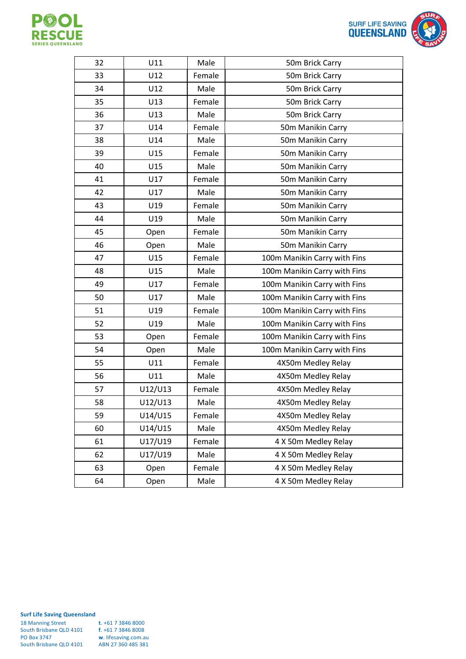



| 32 | U11     | Male   | 50m Brick Carry              |
|----|---------|--------|------------------------------|
| 33 | U12     | Female | 50m Brick Carry              |
| 34 | U12     | Male   | 50m Brick Carry              |
| 35 | U13     | Female | 50m Brick Carry              |
| 36 | U13     | Male   | 50m Brick Carry              |
| 37 | U14     | Female | 50m Manikin Carry            |
| 38 | U14     | Male   | 50m Manikin Carry            |
| 39 | U15     | Female | 50m Manikin Carry            |
| 40 | U15     | Male   | 50m Manikin Carry            |
| 41 | U17     | Female | 50m Manikin Carry            |
| 42 | U17     | Male   | 50m Manikin Carry            |
| 43 | U19     | Female | 50m Manikin Carry            |
| 44 | U19     | Male   | 50m Manikin Carry            |
| 45 | Open    | Female | 50m Manikin Carry            |
| 46 | Open    | Male   | 50m Manikin Carry            |
| 47 | U15     | Female | 100m Manikin Carry with Fins |
| 48 | U15     | Male   | 100m Manikin Carry with Fins |
| 49 | U17     | Female | 100m Manikin Carry with Fins |
| 50 | U17     | Male   | 100m Manikin Carry with Fins |
| 51 | U19     | Female | 100m Manikin Carry with Fins |
| 52 | U19     | Male   | 100m Manikin Carry with Fins |
| 53 | Open    | Female | 100m Manikin Carry with Fins |
| 54 | Open    | Male   | 100m Manikin Carry with Fins |
| 55 | U11     | Female | 4X50m Medley Relay           |
| 56 | U11     | Male   | 4X50m Medley Relay           |
| 57 | U12/U13 | Female | 4X50m Medley Relay           |
| 58 | U12/U13 | Male   | 4X50m Medley Relay           |
| 59 | U14/U15 | Female | 4X50m Medley Relay           |
| 60 | U14/U15 | Male   | 4X50m Medley Relay           |
| 61 | U17/U19 | Female | 4 X 50m Medley Relay         |
| 62 | U17/U19 | Male   | 4 X 50m Medley Relay         |
| 63 | Open    | Female | 4 X 50m Medley Relay         |
| 64 | Open    | Male   | 4 X 50m Medley Relay         |

| <b>18 Manning Street</b> | t. $+61$ 7 3846 8000 |
|--------------------------|----------------------|
| South Brisbane QLD 4101  | $f. +61738468008$    |
| <b>PO Box 3747</b>       | w. lifesaving.com.au |
| South Brisbane QLD 4101  | ABN 27 360 485 381   |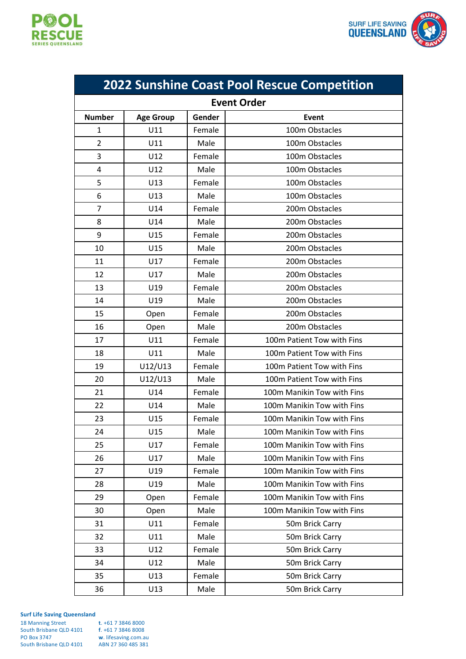



| <b>2022 Sunshine Coast Pool Rescue Competition</b> |                  |        |                            |
|----------------------------------------------------|------------------|--------|----------------------------|
| <b>Event Order</b>                                 |                  |        |                            |
| <b>Number</b>                                      | <b>Age Group</b> | Gender | Event                      |
| 1                                                  | U11              | Female | 100m Obstacles             |
| $\overline{2}$                                     | U11              | Male   | 100m Obstacles             |
| 3                                                  | U12              | Female | 100m Obstacles             |
| 4                                                  | U12              | Male   | 100m Obstacles             |
| 5                                                  | U13              | Female | 100m Obstacles             |
| 6                                                  | U13              | Male   | 100m Obstacles             |
| 7                                                  | U14              | Female | 200m Obstacles             |
| 8                                                  | U14              | Male   | 200m Obstacles             |
| 9                                                  | U15              | Female | 200m Obstacles             |
| 10                                                 | U15              | Male   | 200m Obstacles             |
| 11                                                 | U17              | Female | 200m Obstacles             |
| 12                                                 | U17              | Male   | 200m Obstacles             |
| 13                                                 | U19              | Female | 200m Obstacles             |
| 14                                                 | U19              | Male   | 200m Obstacles             |
| 15                                                 | Open             | Female | 200m Obstacles             |
| 16                                                 | Open             | Male   | 200m Obstacles             |
| 17                                                 | U11              | Female | 100m Patient Tow with Fins |
| 18                                                 | U11              | Male   | 100m Patient Tow with Fins |
| 19                                                 | U12/U13          | Female | 100m Patient Tow with Fins |
| 20                                                 | U12/U13          | Male   | 100m Patient Tow with Fins |
| 21                                                 | U14              | Female | 100m Manikin Tow with Fins |
| 22                                                 | U14              | Male   | 100m Manikin Tow with Fins |
| 23                                                 | U15              | Female | 100m Manikin Tow with Fins |
| 24                                                 | U15              | Male   | 100m Manikin Tow with Fins |
| 25                                                 | U17              | Female | 100m Manikin Tow with Fins |
| 26                                                 | U17              | Male   | 100m Manikin Tow with Fins |
| 27                                                 | U19              | Female | 100m Manikin Tow with Fins |
| 28                                                 | U19              | Male   | 100m Manikin Tow with Fins |
| 29                                                 | Open             | Female | 100m Manikin Tow with Fins |
| 30                                                 | Open             | Male   | 100m Manikin Tow with Fins |
| 31                                                 | U11              | Female | 50m Brick Carry            |
| 32                                                 | U11              | Male   | 50m Brick Carry            |
| 33                                                 | U12              | Female | 50m Brick Carry            |
| 34                                                 | U12              | Male   | 50m Brick Carry            |
| 35                                                 | U13              | Female | 50m Brick Carry            |
| 36                                                 | U13              | Male   | 50m Brick Carry            |

| $t. +61738468000$    |
|----------------------|
| $f. +61738468008$    |
| w. lifesaving.com.au |
| ABN 27 360 485 381   |
|                      |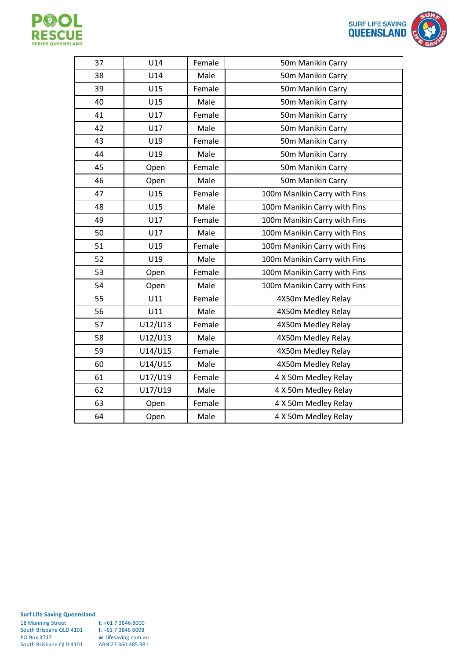



| <b>SURF LIFE SAVING</b><br><b>QUEENSLAND</b> |  |
|----------------------------------------------|--|
| ·rγ                                          |  |
| ·rv                                          |  |

| 37 | U14     | Female | 50m Manikin Carry            |
|----|---------|--------|------------------------------|
| 38 | U14     | Male   | 50m Manikin Carry            |
| 39 | U15     | Female | 50m Manikin Carry            |
| 40 | U15     | Male   | 50m Manikin Carry            |
| 41 | U17     | Female | 50m Manikin Carry            |
| 42 | U17     | Male   | 50m Manikin Carry            |
| 43 | U19     | Female | 50m Manikin Carry            |
| 44 | U19     | Male   | 50m Manikin Carry            |
| 45 | Open    | Female | 50m Manikin Carry            |
| 46 | Open    | Male   | 50m Manikin Carry            |
| 47 | U15     | Female | 100m Manikin Carry with Fins |
| 48 | U15     | Male   | 100m Manikin Carry with Fins |
| 49 | U17     | Female | 100m Manikin Carry with Fins |
| 50 | U17     | Male   | 100m Manikin Carry with Fins |
| 51 | U19     | Female | 100m Manikin Carry with Fins |
| 52 | U19     | Male   | 100m Manikin Carry with Fins |
| 53 | Open    | Female | 100m Manikin Carry with Fins |
| 54 | Open    | Male   | 100m Manikin Carry with Fins |
| 55 | U11     | Female | 4X50m Medley Relay           |
| 56 | U11     | Male   | 4X50m Medley Relay           |
| 57 | U12/U13 | Female | 4X50m Medley Relay           |
| 58 | U12/U13 | Male   | 4X50m Medley Relay           |
| 59 | U14/U15 | Female | 4X50m Medley Relay           |
| 60 | U14/U15 | Male   | 4X50m Medley Relay           |
| 61 | U17/U19 | Female | 4 X 50m Medley Relay         |
| 62 | U17/U19 | Male   | 4 X 50m Medley Relay         |
| 63 | Open    | Female | 4 X 50m Medley Relay         |
| 64 | Open    | Male   | 4 X 50m Medley Relay         |
|    |         |        |                              |

| <b>18 Manning Street</b> | t. $+61$ 7 3846 8000 |
|--------------------------|----------------------|
| South Brisbane QLD 4101  | $f. +61738468008$    |
| <b>PO Box 3747</b>       | w. lifesaving.com.au |
| South Brisbane QLD 4101  | ABN 27 360 485 381   |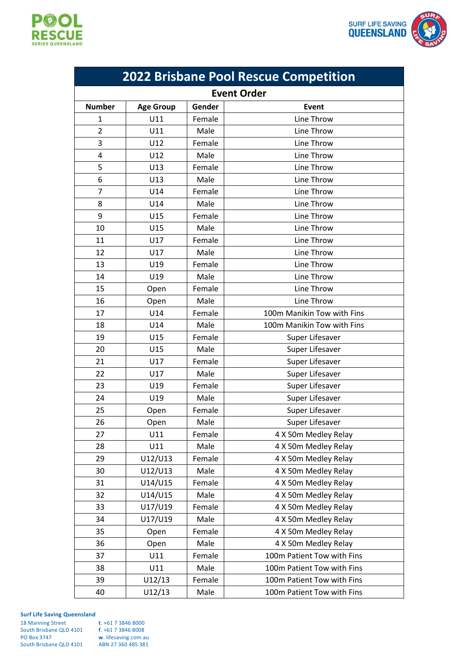

 $\mathcal{L}_{\mathcal{A}}$ 



| <b>2022 Brisbane Pool Rescue Competition</b> |                  |        |                            |
|----------------------------------------------|------------------|--------|----------------------------|
| <b>Event Order</b>                           |                  |        |                            |
| <b>Number</b>                                | <b>Age Group</b> | Gender | <b>Event</b>               |
| $\mathbf{1}$                                 | U11              | Female | Line Throw                 |
| $\overline{2}$                               | U11              | Male   | Line Throw                 |
| 3                                            | U12              | Female | Line Throw                 |
| 4                                            | U12              | Male   | Line Throw                 |
| 5                                            | U13              | Female | Line Throw                 |
| 6                                            | U13              | Male   | Line Throw                 |
| $\overline{7}$                               | U14              | Female | Line Throw                 |
| 8                                            | U14              | Male   | Line Throw                 |
| 9                                            | U15              | Female | Line Throw                 |
| 10                                           | U15              | Male   | Line Throw                 |
| 11                                           | U17              | Female | Line Throw                 |
| 12                                           | U17              | Male   | Line Throw                 |
| 13                                           | U19              | Female | Line Throw                 |
| 14                                           | U19              | Male   | Line Throw                 |
| 15                                           | Open             | Female | Line Throw                 |
| 16                                           | Open             | Male   | Line Throw                 |
| 17                                           | U14              | Female | 100m Manikin Tow with Fins |
| 18                                           | U14              | Male   | 100m Manikin Tow with Fins |
| 19                                           | U15              | Female | Super Lifesaver            |
| 20                                           | U15              | Male   | Super Lifesaver            |
| 21                                           | U17              | Female | Super Lifesaver            |
| 22                                           | U17              | Male   | Super Lifesaver            |
| 23                                           | U19              | Female | Super Lifesaver            |
| 24                                           | U19              | Male   | Super Lifesaver            |
| 25                                           | Open             | Female | Super Lifesaver            |
| 26                                           | Open             | Male   | Super Lifesaver            |
| 27                                           | U11              | Female | 4 X 50m Medley Relay       |
| 28                                           | U11              | Male   | 4 X 50m Medley Relay       |
| 29                                           | U12/U13          | Female | 4 X 50m Medley Relay       |
| 30                                           | U12/U13          | Male   | 4 X 50m Medley Relay       |
| 31                                           | U14/U15          | Female | 4 X 50m Medley Relay       |
| 32                                           | U14/U15          | Male   | 4 X 50m Medley Relay       |
| 33                                           | U17/U19          | Female | 4 X 50m Medley Relay       |
| 34                                           | U17/U19          | Male   | 4 X 50m Medley Relay       |
| 35                                           | Open             | Female | 4 X 50m Medley Relay       |
| 36                                           | Open             | Male   | 4 X 50m Medley Relay       |
| 37                                           | U11              | Female | 100m Patient Tow with Fins |
| 38                                           | U11              | Male   | 100m Patient Tow with Fins |
| 39                                           | U12/13           | Female | 100m Patient Tow with Fins |
| 40                                           | U12/13           | Male   | 100m Patient Tow with Fins |

| <b>18 Manning Street</b> | t. $+61$ 7 3846 8000 |
|--------------------------|----------------------|
| South Brisbane QLD 4101  | $f. +61738468008$    |
| <b>PO Box 3747</b>       | w. lifesaving.com.au |
| South Brisbane QLD 4101  | ABN 27 360 485 381   |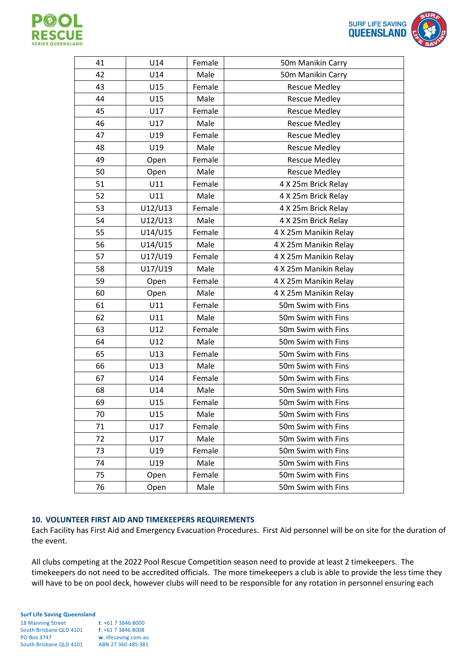



| 41 | U14     | Female | 50m Manikin Carry     |
|----|---------|--------|-----------------------|
| 42 | U14     | Male   | 50m Manikin Carry     |
| 43 | U15     | Female | <b>Rescue Medley</b>  |
| 44 | U15     | Male   | <b>Rescue Medley</b>  |
| 45 | U17     | Female | <b>Rescue Medley</b>  |
| 46 | U17     | Male   | <b>Rescue Medley</b>  |
| 47 | U19     | Female | <b>Rescue Medley</b>  |
| 48 | U19     | Male   | <b>Rescue Medley</b>  |
| 49 | Open    | Female | <b>Rescue Medley</b>  |
| 50 | Open    | Male   | <b>Rescue Medley</b>  |
| 51 | U11     | Female | 4 X 25m Brick Relay   |
| 52 | U11     | Male   | 4 X 25m Brick Relay   |
| 53 | U12/U13 | Female | 4 X 25m Brick Relay   |
| 54 | U12/U13 | Male   | 4 X 25m Brick Relay   |
| 55 | U14/U15 | Female | 4 X 25m Manikin Relay |
| 56 | U14/U15 | Male   | 4 X 25m Manikin Relay |
| 57 | U17/U19 | Female | 4 X 25m Manikin Relay |
| 58 | U17/U19 | Male   | 4 X 25m Manikin Relay |
| 59 | Open    | Female | 4 X 25m Manikin Relay |
| 60 | Open    | Male   | 4 X 25m Manikin Relay |
| 61 | U11     | Female | 50m Swim with Fins    |
| 62 | U11     | Male   | 50m Swim with Fins    |
| 63 | U12     | Female | 50m Swim with Fins    |
| 64 | U12     | Male   | 50m Swim with Fins    |
| 65 | U13     | Female | 50m Swim with Fins    |
| 66 | U13     | Male   | 50m Swim with Fins    |
| 67 | U14     | Female | 50m Swim with Fins    |
| 68 | U14     | Male   | 50m Swim with Fins    |
| 69 | U15     | Female | 50m Swim with Fins    |
| 70 | U15     | Male   | 50m Swim with Fins    |
| 71 | U17     | Female | 50m Swim with Fins    |
| 72 | U17     | Male   | 50m Swim with Fins    |
| 73 | U19     | Female | 50m Swim with Fins    |
| 74 | U19     | Male   | 50m Swim with Fins    |
| 75 | Open    | Female | 50m Swim with Fins    |
| 76 | Open    | Male   | 50m Swim with Fins    |

# **10. VOLUNTEER FIRST AID AND TIMEKEEPERS REQUIREMENTS**

Each Facility has First Aid and Emergency Evacuation Procedures. First Aid personnel will be on site for the duration of the event.

All clubs competing at the 2022 Pool Rescue Competition season need to provide at least 2 timekeepers. The timekeepers do not need to be accredited officials. The more timekeepers a club is able to provide the less time they will have to be on pool deck, however clubs will need to be responsible for any rotation in personnel ensuring each

#### **Surf Life Saving Queensland** 18 Manning Street **t**. +61 7 3846 8000 South Brisbane QLD 4101 **f**. +61 7 3846 8008 PO Box 3747 **w**. lifesaving.com.au South Brisbane QLD 4101 ABN 27 360 485 381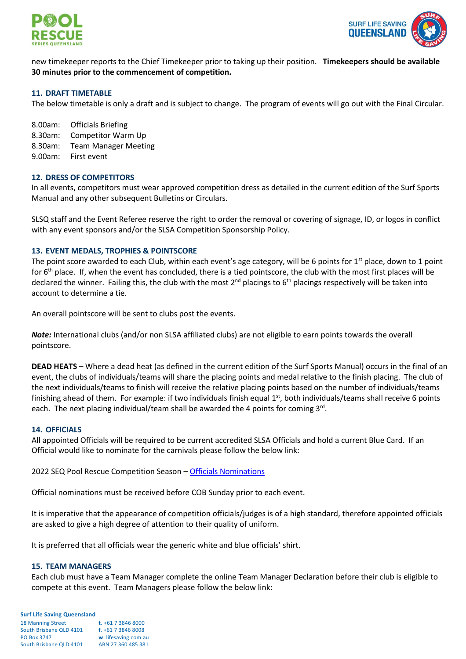



new timekeeper reports to the Chief Timekeeper prior to taking up their position. **Timekeepers should be available 30 minutes prior to the commencement of competition.**

## **11. DRAFT TIMETABLE**

The below timetable is only a draft and is subject to change. The program of events will go out with the Final Circular.

8.00am: Officials Briefing

- 8.30am: Competitor Warm Up
- 8.30am: Team Manager Meeting
- 9.00am: First event

## **12. DRESS OF COMPETITORS**

In all events, competitors must wear approved competition dress as detailed in the current edition of the Surf Sports Manual and any other subsequent Bulletins or Circulars.

SLSQ staff and the Event Referee reserve the right to order the removal or covering of signage, ID, or logos in conflict with any event sponsors and/or the SLSA Competition Sponsorship Policy.

## **13. EVENT MEDALS, TROPHIES & POINTSCORE**

The point score awarded to each Club, within each event's age category, will be 6 points for  $1<sup>st</sup>$  place, down to 1 point for 6<sup>th</sup> place. If, when the event has concluded, there is a tied pointscore, the club with the most first places will be declared the winner. Failing this, the club with the most  $2^{nd}$  placings to  $6^{th}$  placings respectively will be taken into account to determine a tie.

An overall pointscore will be sent to clubs post the events.

*Note:* International clubs (and/or non SLSA affiliated clubs) are not eligible to earn points towards the overall pointscore.

**DEAD HEATS** – Where a dead heat (as defined in the current edition of the Surf Sports Manual) occurs in the final of an event, the clubs of individuals/teams will share the placing points and medal relative to the finish placing. The club of the next individuals/teams to finish will receive the relative placing points based on the number of individuals/teams finishing ahead of them. For example: if two individuals finish equal  $1<sup>st</sup>$ , both individuals/teams shall receive 6 points each. The next placing individual/team shall be awarded the 4 points for coming 3<sup>rd</sup>.

#### **14. OFFICIALS**

All appointed Officials will be required to be current accredited SLSA Officials and hold a current Blue Card. If an Official would like to nominate for the carnivals please follow the below link:

2022 SEQ Pool Rescue Competition Season – [Officials Nominations](https://www.surveymonkey.com/r/GKVJYYJ)

Official nominations must be received before COB Sunday prior to each event.

It is imperative that the appearance of competition officials/judges is of a high standard, therefore appointed officials are asked to give a high degree of attention to their quality of uniform.

It is preferred that all officials wear the generic white and blue officials' shirt.

#### **15. TEAM MANAGERS**

Each club must have a Team Manager complete the online Team Manager Declaration before their club is eligible to compete at this event. Team Managers please follow the below link:

| <b>18 Manning Street</b> | $t. +61738468000$    |
|--------------------------|----------------------|
| South Brisbane QLD 4101  | $f. +61738468008$    |
| <b>PO Box 3747</b>       | w. lifesaving.com.au |
| South Brisbane QLD 4101  | ABN 27 360 485 381   |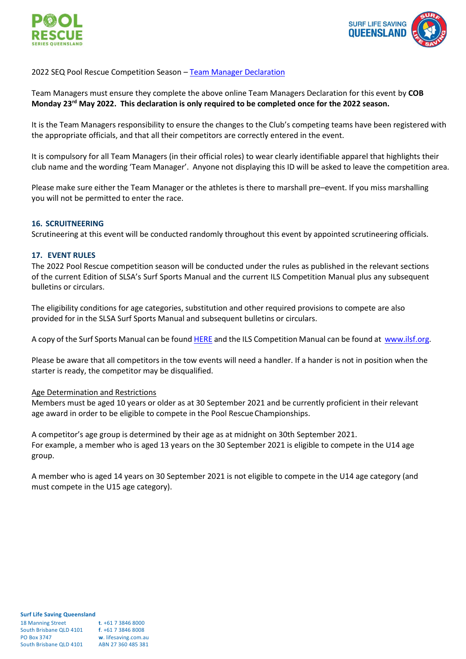



# 2022 SEQ Pool Rescue Competition Season - [Team Manager](https://www.surveymonkey.com/r/HB72GJN) Declaration

Team Managers must ensure they complete the above online Team Managers Declaration for this event by **COB Monday 23rd May 2022. This declaration is only required to be completed once for the 2022 season.**

It is the Team Managers responsibility to ensure the changes to the Club's competing teams have been registered with the appropriate officials, and that all their competitors are correctly entered in the event.

It is compulsory for all Team Managers (in their official roles) to wear clearly identifiable apparel that highlights their club name and the wording 'Team Manager'. Anyone not displaying this ID will be asked to leave the competition area.

Please make sure either the Team Manager or the athletes is there to marshall pre–event. If you miss marshalling you will not be permitted to enter the race.

## **16. SCRUITNEERING**

Scrutineering at this event will be conducted randomly throughout this event by appointed scrutineering officials.

## **17. EVENT RULES**

The 2022 Pool Rescue competition season will be conducted under the rules as published in the relevant sections of the current Edition of SLSA's Surf Sports Manual and the current ILS Competition Manual plus any subsequent bulletins or circulars.

The eligibility conditions for age categories, substitution and other required provisions to compete are also provided for in the SLSA Surf Sports Manual and subsequent bulletins or circulars.

A copy of the Surf Sports Manual can be foun[d HERE](https://slsqcm.entegyapp.com.au/Page/60/105) and the ILS Competition Manual can be found at [www.ilsf.org.](http://www.ilsf.org/)

Please be aware that all competitors in the tow events will need a handler. If a hander is not in position when the starter is ready, the competitor may be disqualified.

#### Age Determination and Restrictions

Members must be aged 10 years or older as at 30 September 2021 and be currently proficient in their relevant age award in order to be eligible to compete in the Pool Rescue Championships.

A competitor's age group is determined by their age as at midnight on 30th September 2021. For example, a member who is aged 13 years on the 30 September 2021 is eligible to compete in the U14 age group.

A member who is aged 14 years on 30 September 2021 is not eligible to compete in the U14 age category (and must compete in the U15 age category).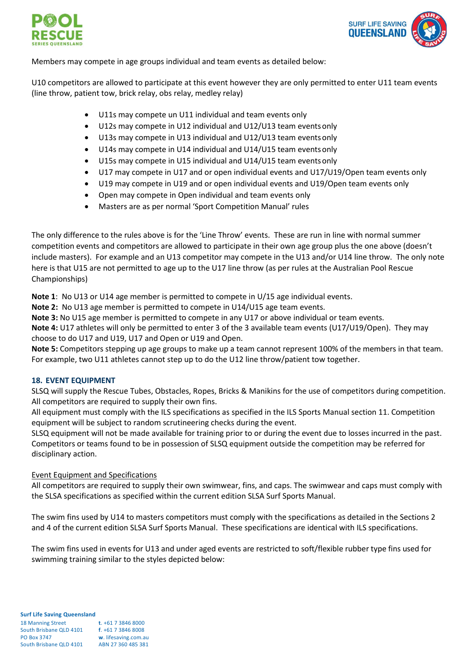



Members may compete in age groups individual and team events as detailed below:

U10 competitors are allowed to participate at this event however they are only permitted to enter U11 team events (line throw, patient tow, brick relay, obs relay, medley relay)

- U11s may compete un U11 individual and team events only
- U12s may compete in U12 individual and U12/U13 team eventsonly
- U13s may compete in U13 individual and U12/U13 team eventsonly
- U14s may compete in U14 individual and U14/U15 team events only
- U15s may compete in U15 individual and U14/U15 team eventsonly
- U17 may compete in U17 and or open individual events and U17/U19/Open team events only
- U19 may compete in U19 and or open individual events and U19/Open team events only
- Open may compete in Open individual and team events only
- Masters are as per normal 'Sport Competition Manual' rules

The only difference to the rules above is for the 'Line Throw' events. These are run in line with normal summer competition events and competitors are allowed to participate in their own age group plus the one above (doesn't include masters). For example and an U13 competitor may compete in the U13 and/or U14 line throw. The only note here is that U15 are not permitted to age up to the U17 line throw (as per rules at the Australian Pool Rescue Championships)

**Note 1**: No U13 or U14 age member is permitted to compete in U/15 age individual events.

**Note 2:** No U13 age member is permitted to compete in U14/U15 age team events.

**Note 3:** No U15 age member is permitted to compete in any U17 or above individual or team events.

**Note 4:** U17 athletes will only be permitted to enter 3 of the 3 available team events (U17/U19/Open). They may choose to do U17 and U19, U17 and Open or U19 and Open.

**Note 5:** Competitors stepping up age groups to make up a team cannot represent 100% of the members in that team. For example, two U11 athletes cannot step up to do the U12 line throw/patient tow together.

# **18. EVENT EQUIPMENT**

SLSQ will supply the Rescue Tubes, Obstacles, Ropes, Bricks & Manikins for the use of competitors during competition. All competitors are required to supply their own fins.

All equipment must comply with the ILS specifications as specified in the ILS Sports Manual section 11. Competition equipment will be subject to random scrutineering checks during the event.

SLSQ equipment will not be made available for training prior to or during the event due to losses incurred in the past. Competitors or teams found to be in possession of SLSQ equipment outside the competition may be referred for disciplinary action.

# Event Equipment and Specifications

All competitors are required to supply their own swimwear, fins, and caps. The swimwear and caps must comply with the SLSA specifications as specified within the current edition SLSA Surf Sports Manual.

The swim fins used by U14 to masters competitors must comply with the specifications as detailed in the Sections 2 and 4 of the current edition SLSA Surf Sports Manual. These specifications are identical with ILS specifications.

The swim fins used in events for U13 and under aged events are restricted to soft/flexible rubber type fins used for swimming training similar to the styles depicted below: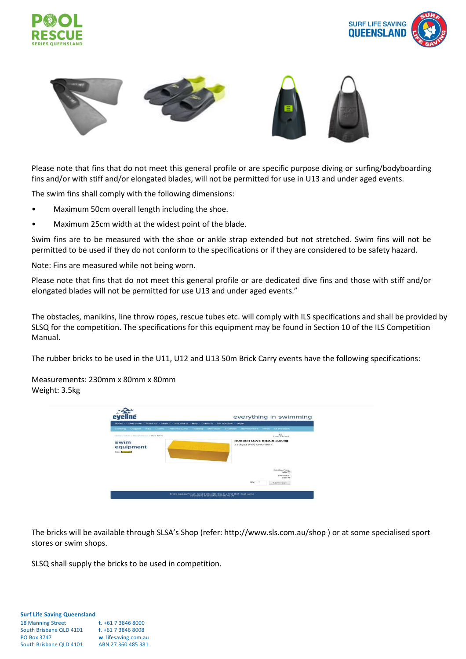





Please note that fins that do not meet this general profile or are specific purpose diving or surfing/bodyboarding fins and/or with stiff and/or elongated blades, will not be permitted for use in U13 and under aged events.

The swim fins shall comply with the following dimensions:

- Maximum 50cm overall length including the shoe.
- Maximum 25cm width at the widest point of the blade.

Swim fins are to be measured with the shoe or ankle strap extended but not stretched. Swim fins will not be permitted to be used if they do not conform to the specifications or if they are considered to be safety hazard.

Note: Fins are measured while not being worn.

Please note that fins that do not meet this general profile or are dedicated dive fins and those with stiff and/or elongated blades will not be permitted for use U13 and under aged events."

The obstacles, manikins, line throw ropes, rescue tubes etc. will comply with ILS specifications and shall be provided by SLSQ for the competition. The specifications for this equipment may be found in Section 10 of the ILS Competition Manual.

The rubber bricks to be used in the U11, U12 and U13 50m Brick Carry events have the following specifications:

Measurements: 230mm x 80mm x 80mm Weight: 3.5kg



The bricks will be available through SLSA's Shop (refer: http://www.sls.com.au/shop ) or at some specialised sport stores or swim shops.

SLSQ shall supply the bricks to be used in competition.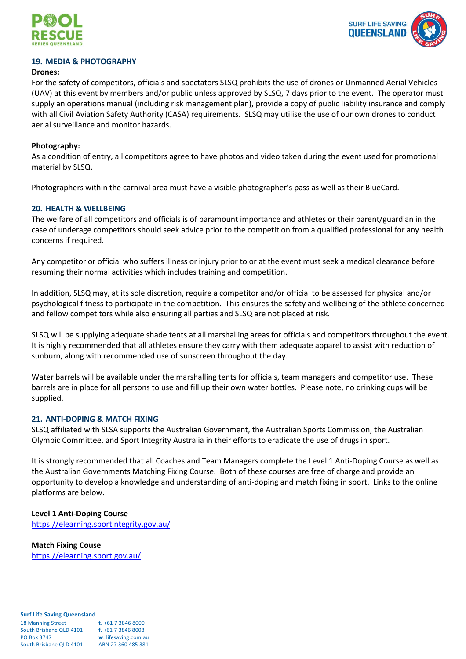



## **19. MEDIA & PHOTOGRAPHY**

#### **Drones:**

For the safety of competitors, officials and spectators SLSQ prohibits the use of drones or Unmanned Aerial Vehicles (UAV) at this event by members and/or public unless approved by SLSQ, 7 days prior to the event. The operator must supply an operations manual (including risk management plan), provide a copy of public liability insurance and comply with all Civil Aviation Safety Authority (CASA) requirements. SLSQ may utilise the use of our own drones to conduct aerial surveillance and monitor hazards.

## **Photography:**

As a condition of entry, all competitors agree to have photos and video taken during the event used for promotional material by SLSQ.

Photographers within the carnival area must have a visible photographer's pass as well as their BlueCard.

## **20. HEALTH & WELLBEING**

The welfare of all competitors and officials is of paramount importance and athletes or their parent/guardian in the case of underage competitors should seek advice prior to the competition from a qualified professional for any health concerns if required.

Any competitor or official who suffers illness or injury prior to or at the event must seek a medical clearance before resuming their normal activities which includes training and competition.

In addition, SLSQ may, at its sole discretion, require a competitor and/or official to be assessed for physical and/or psychological fitness to participate in the competition. This ensures the safety and wellbeing of the athlete concerned and fellow competitors while also ensuring all parties and SLSQ are not placed at risk.

SLSQ will be supplying adequate shade tents at all marshalling areas for officials and competitors throughout the event. It is highly recommended that all athletes ensure they carry with them adequate apparel to assist with reduction of sunburn, along with recommended use of sunscreen throughout the day.

Water barrels will be available under the marshalling tents for officials, team managers and competitor use. These barrels are in place for all persons to use and fill up their own water bottles. Please note, no drinking cups will be supplied.

#### **21. ANTI-DOPING & MATCH FIXING**

SLSQ affiliated with SLSA supports the Australian Government, the Australian Sports Commission, the Australian Olympic Committee, and Sport Integrity Australia in their efforts to eradicate the use of drugs in sport.

It is strongly recommended that all Coaches and Team Managers complete the Level 1 Anti-Doping Course as well as the Australian Governments Matching Fixing Course. Both of these courses are free of charge and provide an opportunity to develop a knowledge and understanding of anti-doping and match fixing in sport. Links to the online platforms are below.

#### **Level 1 Anti-Doping Course**

<https://elearning.sportintegrity.gov.au/>

**Match Fixing Couse** <https://elearning.sport.gov.au/>